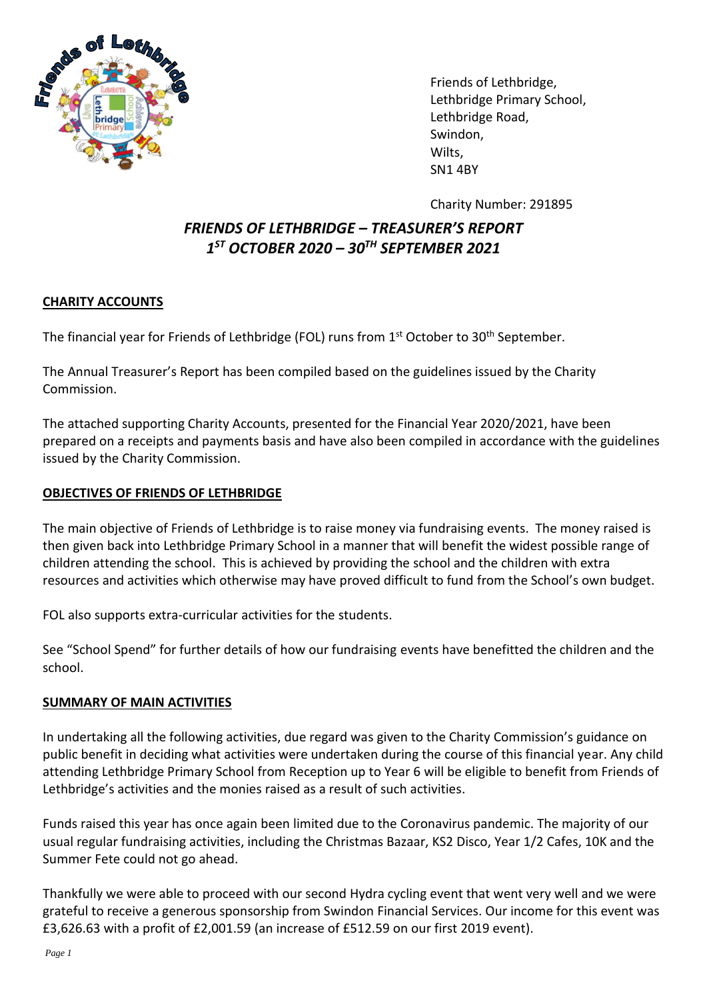

Friends of Lethbridge, Lethbridge Primary School, Lethbridge Road, Swindon, Wilts, SN1 4BY

Charity Number: 291895

## *FRIENDS OF LETHBRIDGE – TREASURER'S REPORT 1 ST OCTOBER 2020 – 30TH SEPTEMBER 2021*

## **CHARITY ACCOUNTS**

The financial year for Friends of Lethbridge (FOL) runs from 1<sup>st</sup> October to 30<sup>th</sup> September.

The Annual Treasurer's Report has been compiled based on the guidelines issued by the Charity Commission.

The attached supporting Charity Accounts, presented for the Financial Year 2020/2021, have been prepared on a receipts and payments basis and have also been compiled in accordance with the guidelines issued by the Charity Commission.

## **OBJECTIVES OF FRIENDS OF LETHBRIDGE**

The main objective of Friends of Lethbridge is to raise money via fundraising events. The money raised is then given back into Lethbridge Primary School in a manner that will benefit the widest possible range of children attending the school. This is achieved by providing the school and the children with extra resources and activities which otherwise may have proved difficult to fund from the School's own budget.

FOL also supports extra-curricular activities for the students.

See "School Spend" for further details of how our fundraising events have benefitted the children and the school.

## **SUMMARY OF MAIN ACTIVITIES**

In undertaking all the following activities, due regard was given to the Charity Commission's guidance on public benefit in deciding what activities were undertaken during the course of this financial year. Any child attending Lethbridge Primary School from Reception up to Year 6 will be eligible to benefit from Friends of Lethbridge's activities and the monies raised as a result of such activities.

Funds raised this year has once again been limited due to the Coronavirus pandemic. The majority of our usual regular fundraising activities, including the Christmas Bazaar, KS2 Disco, Year 1/2 Cafes, 10K and the Summer Fete could not go ahead.

Thankfully we were able to proceed with our second Hydra cycling event that went very well and we were grateful to receive a generous sponsorship from Swindon Financial Services. Our income for this event was £3,626.63 with a profit of £2,001.59 (an increase of £512.59 on our first 2019 event).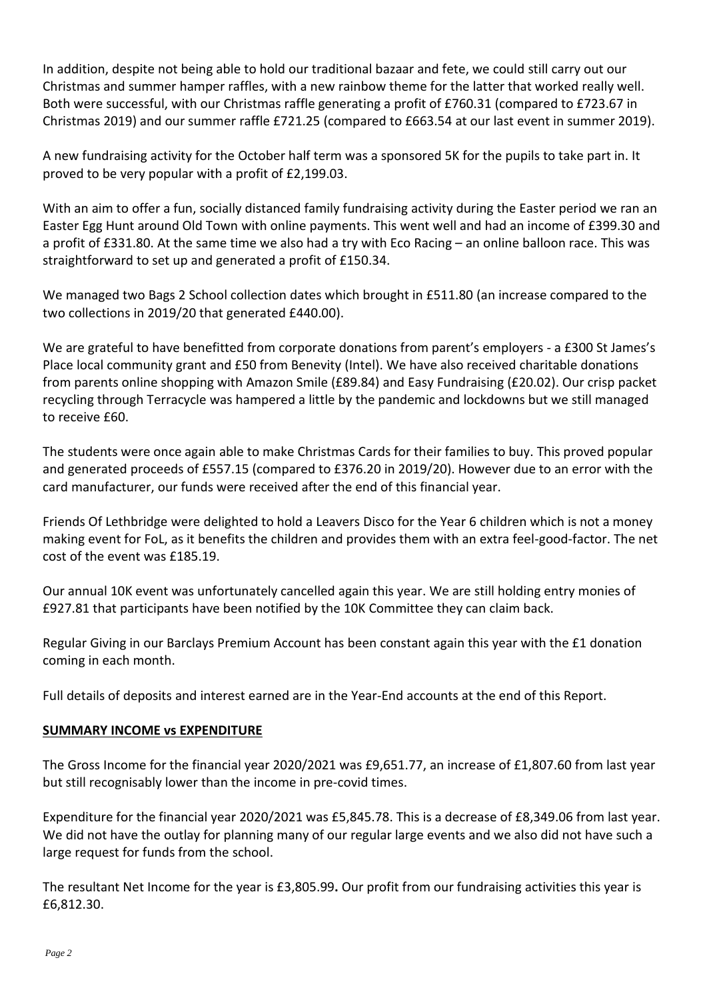In addition, despite not being able to hold our traditional bazaar and fete, we could still carry out our Christmas and summer hamper raffles, with a new rainbow theme for the latter that worked really well. Both were successful, with our Christmas raffle generating a profit of £760.31 (compared to £723.67 in Christmas 2019) and our summer raffle £721.25 (compared to £663.54 at our last event in summer 2019).

A new fundraising activity for the October half term was a sponsored 5K for the pupils to take part in. It proved to be very popular with a profit of £2,199.03.

With an aim to offer a fun, socially distanced family fundraising activity during the Easter period we ran an Easter Egg Hunt around Old Town with online payments. This went well and had an income of £399.30 and a profit of £331.80. At the same time we also had a try with Eco Racing – an online balloon race. This was straightforward to set up and generated a profit of £150.34.

We managed two Bags 2 School collection dates which brought in £511.80 (an increase compared to the two collections in 2019/20 that generated £440.00).

We are grateful to have benefitted from corporate donations from parent's employers - a £300 St James's Place local community grant and £50 from Benevity (Intel). We have also received charitable donations from parents online shopping with Amazon Smile (£89.84) and Easy Fundraising (£20.02). Our crisp packet recycling through Terracycle was hampered a little by the pandemic and lockdowns but we still managed to receive £60.

The students were once again able to make Christmas Cards for their families to buy. This proved popular and generated proceeds of £557.15 (compared to £376.20 in 2019/20). However due to an error with the card manufacturer, our funds were received after the end of this financial year.

Friends Of Lethbridge were delighted to hold a Leavers Disco for the Year 6 children which is not a money making event for FoL, as it benefits the children and provides them with an extra feel-good-factor. The net cost of the event was £185.19.

Our annual 10K event was unfortunately cancelled again this year. We are still holding entry monies of £927.81 that participants have been notified by the 10K Committee they can claim back.

Regular Giving in our Barclays Premium Account has been constant again this year with the £1 donation coming in each month.

Full details of deposits and interest earned are in the Year-End accounts at the end of this Report.

#### **SUMMARY INCOME vs EXPENDITURE**

The Gross Income for the financial year 2020/2021 was £9,651.77, an increase of £1,807.60 from last year but still recognisably lower than the income in pre-covid times.

Expenditure for the financial year 2020/2021 was £5,845.78. This is a decrease of £8,349.06 from last year. We did not have the outlay for planning many of our regular large events and we also did not have such a large request for funds from the school.

The resultant Net Income for the year is £3,805.99**.** Our profit from our fundraising activities this year is £6,812.30.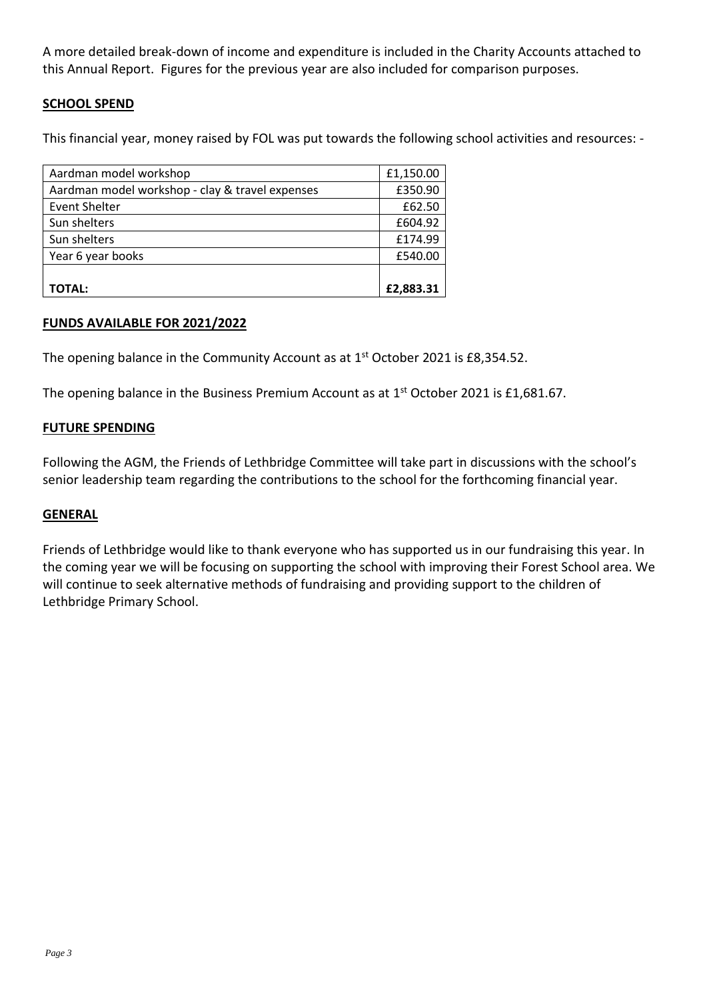A more detailed break-down of income and expenditure is included in the Charity Accounts attached to this Annual Report. Figures for the previous year are also included for comparison purposes.

## **SCHOOL SPEND**

This financial year, money raised by FOL was put towards the following school activities and resources: -

| Aardman model workshop                          | £1,150.00 |
|-------------------------------------------------|-----------|
| Aardman model workshop - clay & travel expenses | £350.90   |
| <b>Event Shelter</b>                            | £62.50    |
| Sun shelters                                    | £604.92   |
| Sun shelters                                    | £174.99   |
| Year 6 year books                               | £540.00   |
|                                                 |           |
| <b>TOTAL:</b>                                   | £2,883.31 |

#### **FUNDS AVAILABLE FOR 2021/2022**

The opening balance in the Community Account as at  $1<sup>st</sup>$  October 2021 is £8,354.52.

The opening balance in the Business Premium Account as at  $1<sup>st</sup>$  October 2021 is £1,681.67.

#### **FUTURE SPENDING**

Following the AGM, the Friends of Lethbridge Committee will take part in discussions with the school's senior leadership team regarding the contributions to the school for the forthcoming financial year.

#### **GENERAL**

Friends of Lethbridge would like to thank everyone who has supported us in our fundraising this year. In the coming year we will be focusing on supporting the school with improving their Forest School area. We will continue to seek alternative methods of fundraising and providing support to the children of Lethbridge Primary School.